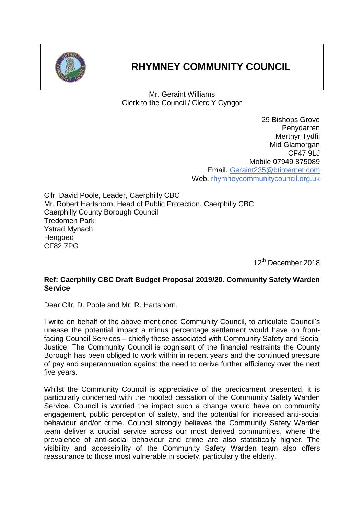

## **RHYMNEY COMMUNITY COUNCIL**

Mr. Geraint Williams Clerk to the Council / Clerc Y Cyngor

> 29 Bishops Grove Penydarren Merthyr Tydfil Mid Glamorgan CF47 9LJ Mobile 07949 875089 Email. [Geraint235@btinternet.com](mailto:Geraint235@btinternet.com) Web. rhymneycommunitycouncil.org.uk

Cllr. David Poole, Leader, Caerphilly CBC Mr. Robert Hartshorn, Head of Public Protection, Caerphilly CBC Caerphilly County Borough Council Tredomen Park Ystrad Mynach **Hengoed** CF82 7PG

12<sup>th</sup> December 2018

## **Ref: Caerphilly CBC Draft Budget Proposal 2019/20. Community Safety Warden Service**

Dear Cllr. D. Poole and Mr. R. Hartshorn,

I write on behalf of the above-mentioned Community Council, to articulate Council's unease the potential impact a minus percentage settlement would have on frontfacing Council Services – chiefly those associated with Community Safety and Social Justice. The Community Council is cognisant of the financial restraints the County Borough has been obliged to work within in recent years and the continued pressure of pay and superannuation against the need to derive further efficiency over the next five years.

Whilst the Community Council is appreciative of the predicament presented, it is particularly concerned with the mooted cessation of the Community Safety Warden Service. Council is worried the impact such a change would have on community engagement, public perception of safety, and the potential for increased anti-social behaviour and/or crime. Council strongly believes the Community Safety Warden team deliver a crucial service across our most derived communities, where the prevalence of anti-social behaviour and crime are also statistically higher. The visibility and accessibility of the Community Safety Warden team also offers reassurance to those most vulnerable in society, particularly the elderly.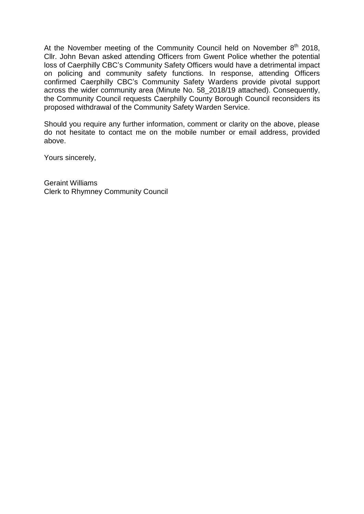At the November meeting of the Community Council held on November  $8<sup>th</sup>$  2018, Cllr. John Bevan asked attending Officers from Gwent Police whether the potential loss of Caerphilly CBC's Community Safety Officers would have a detrimental impact on policing and community safety functions. In response, attending Officers confirmed Caerphilly CBC's Community Safety Wardens provide pivotal support across the wider community area (Minute No. 58\_2018/19 attached). Consequently, the Community Council requests Caerphilly County Borough Council reconsiders its proposed withdrawal of the Community Safety Warden Service.

Should you require any further information, comment or clarity on the above, please do not hesitate to contact me on the mobile number or email address, provided above.

Yours sincerely,

Geraint Williams Clerk to Rhymney Community Council